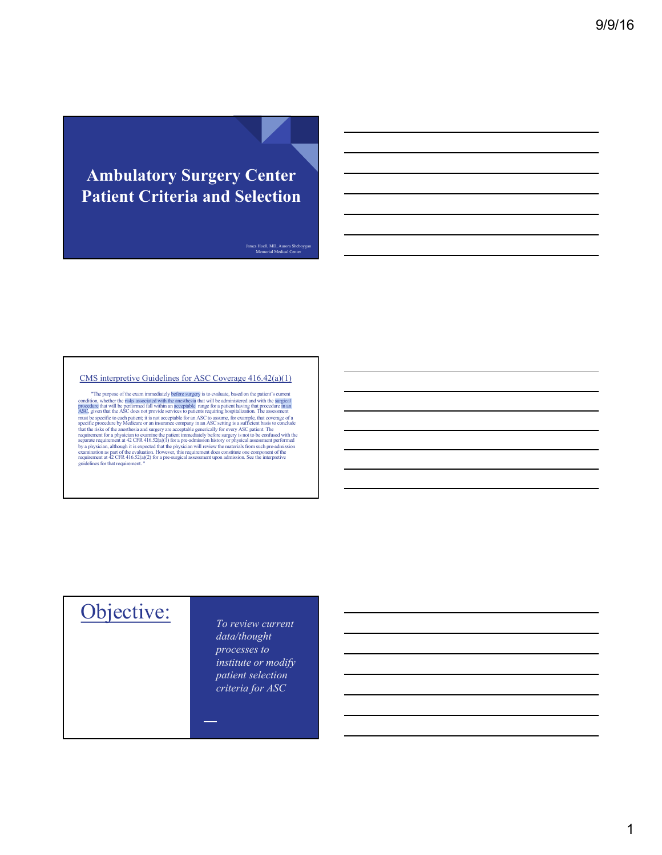### **Ambulatory Surgery Center Patient Criteria and Selection**

James Hoell, MD, Aurora Sheboygan Memorial Medical Center

#### CMS interpretive Guidelines for ASC Coverage 416.42(a)(1)

"The purpose of the exam immediately before surgery is to evaluate, based on the patient's current<br>condition, whether the risks associated with the aneshesis that will be administered and with the surgerial<br>procedure that guidelines for that requirement."

# Objective: *To review current*

*data/thought processes to institute or modify patient selection criteria for ASC*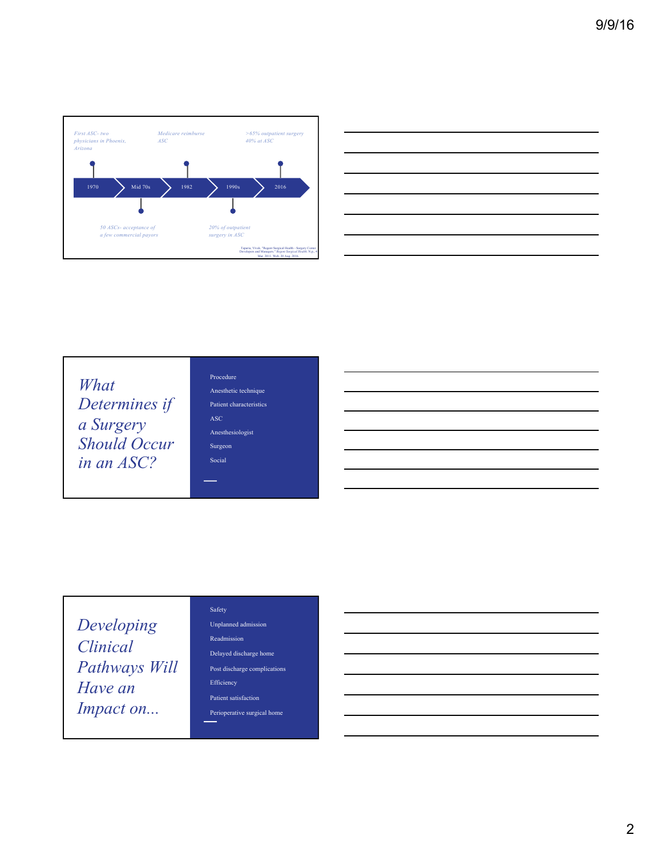



| What                |
|---------------------|
| Determines if       |
| a Surgery           |
| <b>Should Occur</b> |
| in an ASC?          |

#### Procedure Anesthetic technique Patient characteristics ASC Anesthesiologist Surgeon Social

and and

*Developing Clinical Pathways Will Have an Impact on...*

#### Safety Unplanned admission

Readmission

Delayed discharge home

Post discharge complications Efficiency

Patient satisfaction

Perioperative surgical home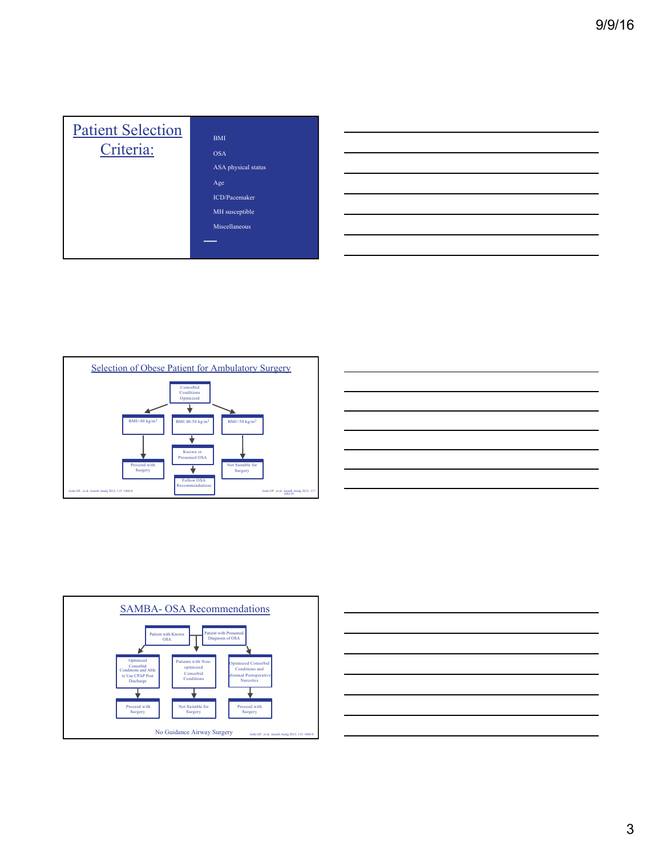| <b>Patient Selection</b><br>Criteria: | <b>BMI</b><br><b>OSA</b><br>ASA physical status<br>Age<br><b>ICD/Pacemaker</b><br>MH susceptible<br>Miscellaneous |
|---------------------------------------|-------------------------------------------------------------------------------------------------------------------|
|---------------------------------------|-------------------------------------------------------------------------------------------------------------------|



| <u> 1989 - Johann Stoff, amerikansk politiker (d. 1989)</u>                                                                                                                                                                          |  |                                   |
|--------------------------------------------------------------------------------------------------------------------------------------------------------------------------------------------------------------------------------------|--|-----------------------------------|
|                                                                                                                                                                                                                                      |  |                                   |
| <u>state and the state of the state of the state of the state of the state of the state of the state of the state of the state of the state of the state of the state of the state of the state of the state of the state of the</u> |  |                                   |
|                                                                                                                                                                                                                                      |  |                                   |
|                                                                                                                                                                                                                                      |  |                                   |
|                                                                                                                                                                                                                                      |  |                                   |
|                                                                                                                                                                                                                                      |  | ____                              |
|                                                                                                                                                                                                                                      |  |                                   |
| <u> 1989 - Johann Stoff, amerikansk politiker (d. 1989)</u>                                                                                                                                                                          |  |                                   |
|                                                                                                                                                                                                                                      |  |                                   |
|                                                                                                                                                                                                                                      |  | ____                              |
|                                                                                                                                                                                                                                      |  |                                   |
| <u> 1989 - Johann Stoff, amerikansk politiker (d. 1989)</u>                                                                                                                                                                          |  | the control of the control of the |
|                                                                                                                                                                                                                                      |  |                                   |



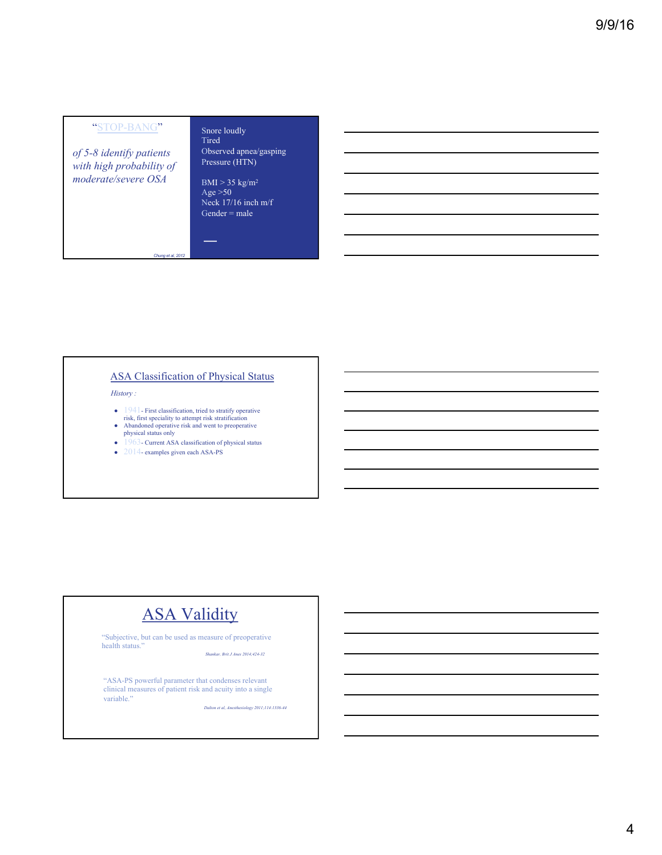#### "STOP-BANG"

*of 5-8 identify patients with high probability of moderate/severe OSA*

#### Snore loudly Tired

Observed apnea/gasping Pressure (HTN)

 $BMI > 35$  kg/m<sup>2</sup> Age  $>50$ Neck 17/16 inch m/f Gender = male

 $\sim$ 

#### ASA Classification of Physical Status

*History :*

- 1941- First classification, tried to stratify operative
- risk, first speciality to attempt risk stratification Abandoned operative risk and went to preoperative
- physical status only
- 1963- Current ASA classification of physical status
- $\bullet$  2014- examples given each ASA-PS

*Chung et al, 2012*

### **ASA Validity**

"Subjective, but can be used as measure of preoperative health status."

*Shankar, Brit J Anes 2014;424-32*

"ASA-PS powerful parameter that condenses relevant clinical measures of patient risk and acuity into a single variable."

*Dalton et al, Anesthesiology 2011;114:1336-44*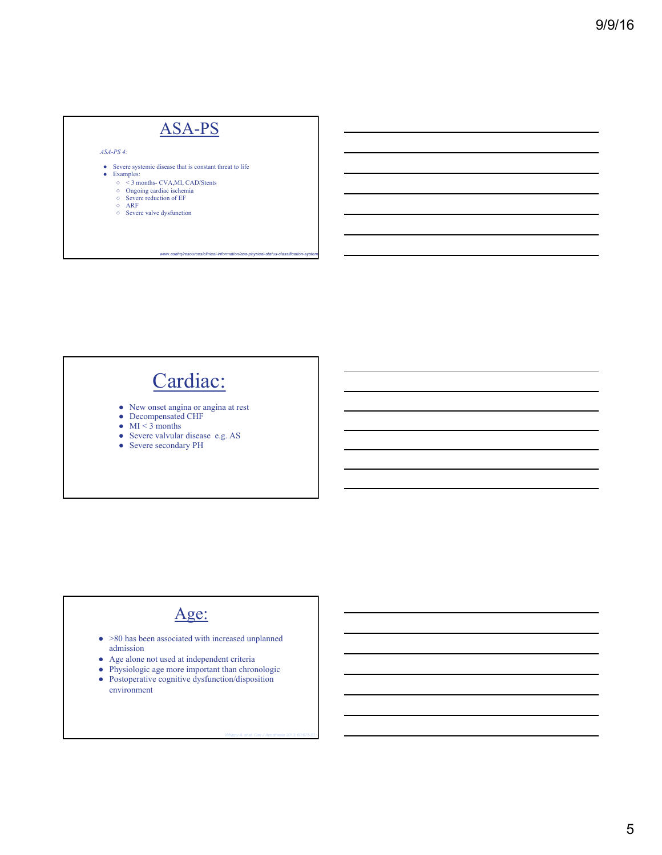### ASA-PS *ASA-PS 4:* ● Severe systemic disease that is constant threat to life<br>● Examples: ○ < 3 months- CVA,MI, CAD/Stents ○ Ongoing cardiac ischemia<br>○ Severe reduction of EF<br>○ ARF<br>○ Severe valve dysfunction

*www.asahq/resources/clinical-information/asa-physical-status-classification-system*

# Cardiac:

- New onset angina or angina at rest
- Decompensated CHF
- $\bullet$  MI < 3 months
- Severe valvular disease e.g. AS
- Severe secondary PH

#### Age:

- >80 has been associated with increased unplanned admission
- Age alone not used at independent criteria
- Physiologic age more important than chronologic
- Postoperative cognitive dysfunction/disposition environment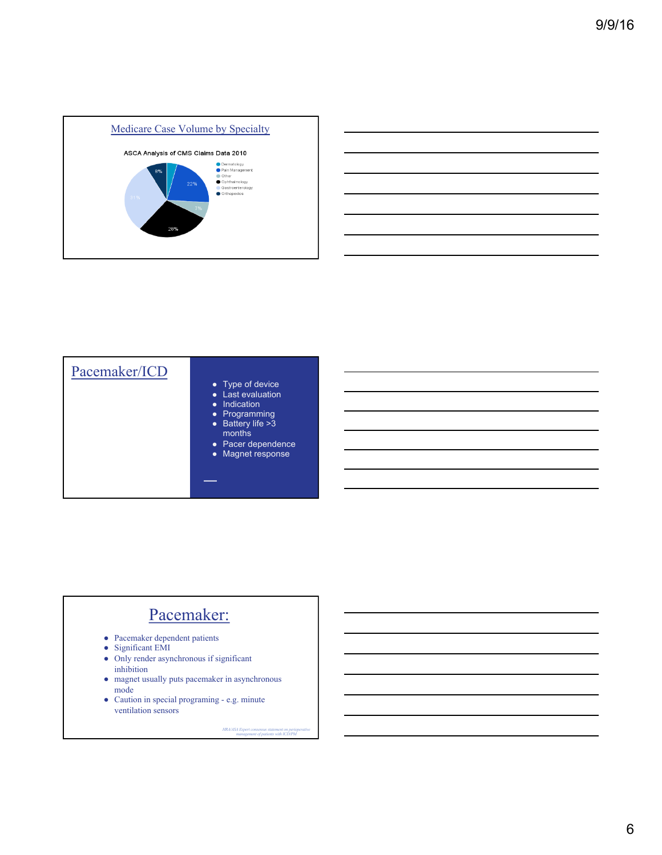



| Pacemaker/ICD | • Type of device<br>• Last evaluation<br>• Indication<br>• Programming<br>$\bullet$ Battery life >3<br>months<br>• Pacer dependence<br><b>Magnet response</b><br>$\bullet$ |
|---------------|----------------------------------------------------------------------------------------------------------------------------------------------------------------------------|
|               |                                                                                                                                                                            |

### Pacemaker:

- Pacemaker dependent patients
- Significant EMI
- Only render asynchronous if significant inhibition
- magnet usually puts pacemaker in asynchronous mode
- Caution in special programing e.g. minute ventilation sensors

*HRA/ASA Expert consensus statement on perioperative management of patients with ICD/PM*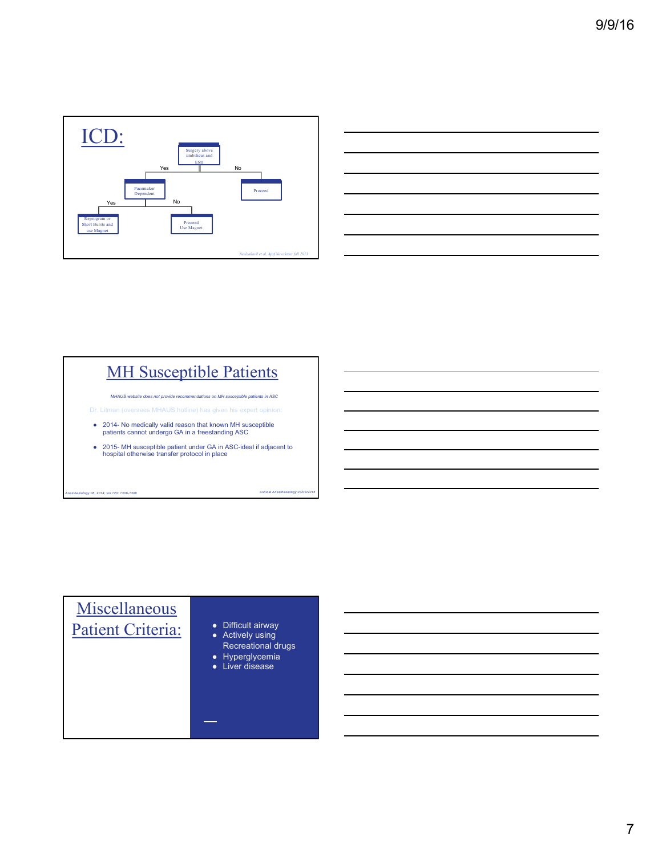



### **MH Susceptible Patients**

*MHAUS website does not provide recommendations on MH susceptible patients in ASC*

- 2014- No medically valid reason that known MH susceptible patients cannot undergo GA in a freestanding ASC
- 2015- MH susceptible patient under GA in ASC-ideal if adjacent to hospital otherwise transfer protocol in place

*Anesthesiology 06, 2014; vol 120: 1306-1308 Clinical Anesthesiology 03/03/2015*

# **Miscellaneous** Patient Criteria:

- 
- Actively using Recreational drugs
- Hyperglycemia
- Liver disease